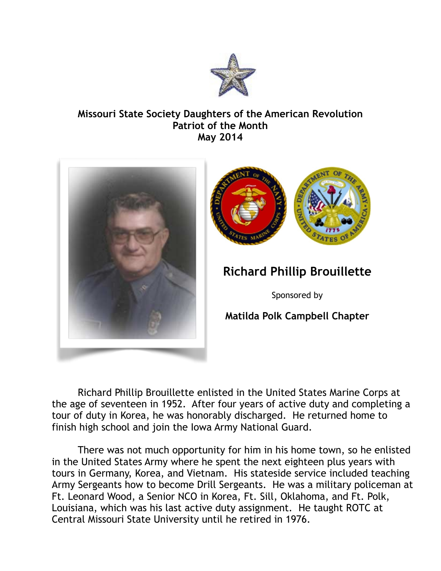

## **Missouri State Society Daughters of the American Revolution Patriot of the Month May 2014**



Richard Phillip Brouillette enlisted in the United States Marine Corps at the age of seventeen in 1952. After four years of active duty and completing a tour of duty in Korea, he was honorably discharged. He returned home to finish high school and join the Iowa Army National Guard.

 There was not much opportunity for him in his home town, so he enlisted in the United States Army where he spent the next eighteen plus years with tours in Germany, Korea, and Vietnam. His stateside service included teaching Army Sergeants how to become Drill Sergeants. He was a military policeman at Ft. Leonard Wood, a Senior NCO in Korea, Ft. Sill, Oklahoma, and Ft. Polk, Louisiana, which was his last active duty assignment. He taught ROTC at Central Missouri State University until he retired in 1976.